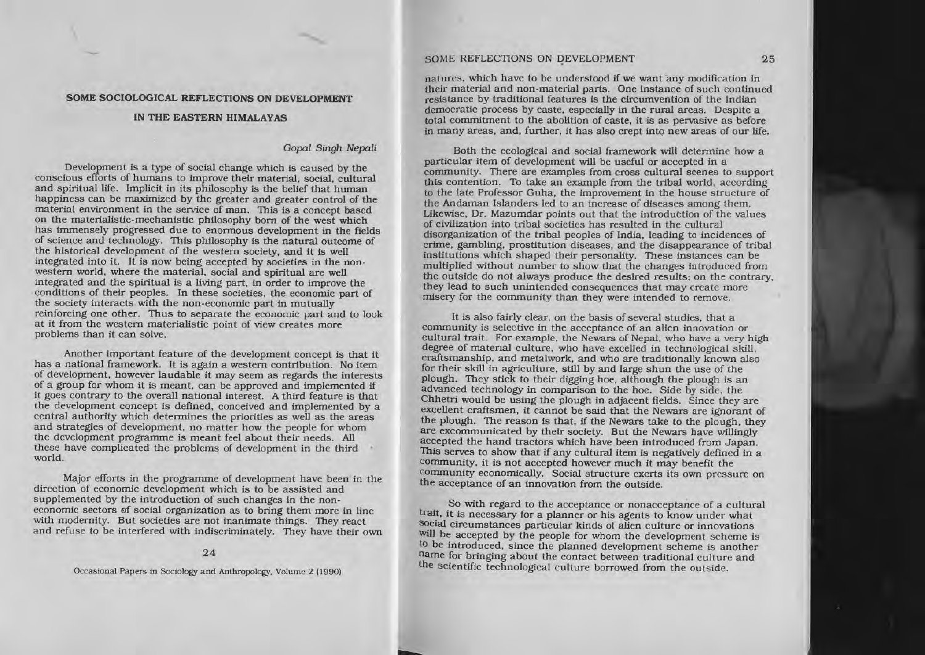## SOME SOCIOLOGICAL REFLECTIONS ON DEVELOPMENT

### IN THE EASTERN HIMALAYAS

## Gopal Singh Nepali

Development is a type of social change which is caused by the conscious efforts of hwnans to improve their material. social. cultural and spiritual life. Implicit in its philosophy is the belief that human happiness can be maximized by the greater and greater control of the material environment in the service of man. This is a concept based on the materialistic-mechanistic philosophy born of the west which has immensely progressed due to enormous development in the fields of science and technology. This philosophy is the natural outcome of the historical development of the western society, and it is well integrated into it. It is now being accepted by societies in the nonwestern world, where the material, social and spiritual are well integrated and the spiritual is <sup>a</sup> living part. in order to improve the conditions of their peoples. In these societies. the economic par<sup>t</sup> of the society interacts with the non-economic par<sup>t</sup> in mutually reinforcing one other. Thus to separate the economic par<sup>t</sup> and to look at it from the western materialistic point of view creates more problems than it can solve.

Another important feature of the development concept is that it has <sup>a</sup> national framework. It is again <sup>a</sup> western contribution. No item of development. however laudable it may seem as regards the interests of <sup>a</sup> group for whom it Is meant. can be approved and implemented if it goes contrary to the overall national Interest. A third feature is that the development concep<sup>t</sup> is defined. conceived and implemented by <sup>a</sup> central authority which determines the priorities as well as the areas and strategies of development. no matter how the people for whom the development programme is meant feel about their needs. All thcse have complicated the problems of development in the third world.

Major efforts in the programme of development have been in the direction of economic development which is to be assisted and supplemented by the introduction of such changes in the nonsupplemented by the introduction of such changes in the noneconomic sectors of social organization as to bring them more in line with modernity. But societies are not inanimate things. They react and refuse to be interfered with indiscriminately. They have their own

## 24

Occasional Papers in Sociology and Anthropology. Volume 2 (1990).

## SOME REFLECTIONS ON DEVELOPMENT 25

natures. which have to be understood if we want any modification in their material and non-material parts. One Instance of such continued resistance by traditional features is the circumvention of the Indian democratic process by caste. especially in the rural areas. Despite <sup>a</sup> total commitment to the abolition of caste, it is as pervasive as before in many areas, and, further, it has also crept into new areas of our life.

Both the ecological and social framework will detennine how <sup>a</sup> particular item of development will be useful or accepted in a community. There are examples from cross cultural scenes 10 suppor<sup>t</sup> this contention. To take an example from the tribal world, according to the late Professor Guha, the improvement in the house structure of the Andaman Islanders led to an increase of diseases among them. Likewise, Dr. Mazumdar points out that the introduction of the values of civilization into tribal societies has resulted in the cultural disorganization of the tribal peoples of India. leading to Incidences of crime. gambling. prostitution diseases, and the disappearance of tribal institutions which shaped their personality. These instances can be multiplied without number to show that the changes introduced from the outside do not always produce the desired results; on the contrary. they lead to such unintended consequences that may create more misery for the community than they were Intended to remove.

It is also fairly clear. on the basis of several studies. that <sup>a</sup> community is selective in the acceptance of an alien innovation or cultural trait. For example. the Newars of Nepal, who have <sup>a</sup> very high degree of material culture. who have excelled in technological skill. craftsmanship. and metalwork. and who are traditionally known also for their skill in agriculture, still by and large shun the use of the plough. They stick to their digging hoe, although the plough is an advanced technology in comparison to the hoe. Side by side, the Chhetri would be using the plough in adjacent fields. Since they are excellent craftsmen, it cannot be said that the Newars are ignorant of the plough. The reason is that. if the Newars take to the plough. they are excommunicated by their society. But the Newars have willingly accepted the hand tractors which have been introduced from Japan. This serves to show that if any cultural item is negatively defined in a community, it is not accepted however much it may benefit the community economically. Social structure exerts its own pressure on the acceptance of an innovation from the outside.

So with regard to the acceptance or nonacceptance of <sup>a</sup> cultural trait, it is necessary for a planner or his agents to know under what social circumstances particular kinds of alien culture or innovations will be accepted by the people for whom the development scheme is to be Introduced. since the planned development scheme is another name for bringing about the contact between traditional culture and the scientific technological culture borrowed from the outside.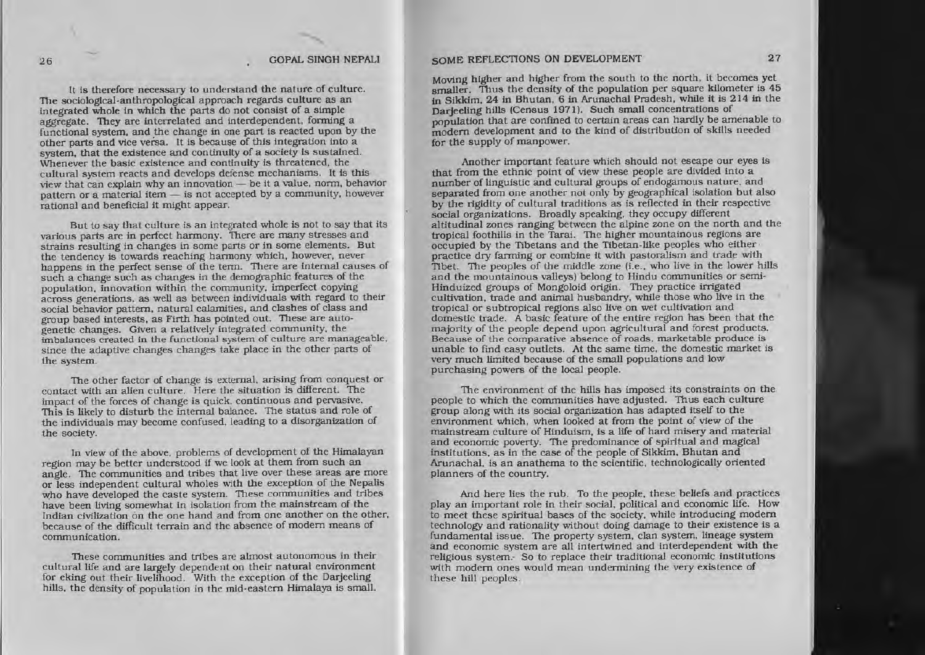It is therefore necessary to understand the nature of culture. The sociological-anthropological approach regards culture as an integrated whole in which the parts do not consist of a simple aggregate. They are interrelated and interdependent, forming a functional system, and the change in one part is reacted upon by the other parts and vice versa. It is because of this Integration into <sup>a</sup> system. that the existence and continuity of <sup>a</sup> society is sustained. Whenever the basic existence and continuity is threatened, the cultural system reacts and develops defense mechanisms. It Is this view that can explain why an innovation - be it a value, norm, behavior pattern or a material item - is not accepted by a community, however rational and beneficial it might appear.

But to say that culture is an integrated whole is not to say that its vartous parts are in perfect harmony. There are many stresses and strains resulting in changes in some parts or in some elements. But the tendency is towards reaching hannony which. however, never happens In the perfect sense of the term. There are internal causes of such <sup>a</sup> change such as changes in the demographic features of the population, innovation within the community, imperfect copying across generations. as well as between individuals with regard to their social behavior pattern. natural calamities. and clashes of class and group based interests. as Firth has pointed out. These are auto· genetic changes. Given <sup>a</sup> relatively integrated community. the imbalances created in the functional system of culture are manageable. since the adaptive changes changes take place in the other parts of the system.

The other factor of change is external, arising from conquest or contact with an alien culture. Here the situation is different. The impact of the forces of change is quick. continuous and pervasive. This is likely to disturb the internal balance. The status and role of the individuals may become confused, leading to a disorganization of the society.

In view of the above. problems of development of the Himalayan region may be better understood if we look at them from such an angle. The communities and tribes that live over these areas are more or less independent cultural wholes with the exception of the Nepalis who have developed the caste system. These communities and tribes have been living somewhat in Isolation from the mainstream of the Indian civilization on the one hand and from one another on the other. because of the difficult terrain and the absence of modern means of communication.

These communities and tribes are almost autonomous in their cultural life and are largely dependent on their natural environment for eking out their livelihood. With the exception of the Darjeeling hills, the density of population in the mid-eastern Himalaya is small.

# 26 GOPAL SINGH NEPALI SOME REFLECTIONS ON DEVELOPMENT 27

Moving higher and higher from the south to the north, it becomes yet smaller. Thus the density of the population per square kilometer is 45 in Slkkim. 24 in Bhutan. 6 in Arunachal Pradesh. while it is 214 in the Darjeeling hills (Census 1971). Such small concentrations of population that are confined to certain areas can hardly be amenable to modem development and to the kind of distribution of skills needed for the supply of manpower.

Another important feature which should not escape our eyes is that from the ethnic point of view these people are divided into a number of linguistic and cultural groups of endogamous nature. and separated from one another not only by geographical isolation but also by the rigidity of cultural traditions as is reflected in their respective social organizations. Broadly speaking, they occupy different altitudinal zones ranging between the alpine zone on the north and the tropical foothills in the Tarai. The higher mountainous regions are occupied by the Tibetans and the TIbetan-like peoples who either practice dry farming or combine It with pastoralism and trade with Tibet. The peoples of the middle zone (i.e., who live in the lower hills and the mountainous valleys) belong to Hindu communities or semi· Hinduized groups of Mongoloid origin. They practice irrigated cultivation, trade and animal husbandry. while those who live In the tropical or subtropical regions also live on wet cultivation and domestic trade. A basic feature of the entire region has been that the majority of the people depend upon agricultural and forest products. Because of the comparative absence of roads. marketable produce is unable to find easy outlets. At the same time, the domestic market is very much limited because of the small populations and low purchasing powers of the local people.

The environment of the hills has imposed its constraints on the people to which the communities have adjusted. Thus each culture group along with its social organization has adapted itself to the environment which. when looked at from the point of view of the mainstream culture of Hinduism, is a life of hard misery and material and economic poverty. The predominance of spirttual and magical institutions, as in the case of the people of Sikkim, Bhutan and Arunachal, is an anathema to the scientific, technologically oriented planners of the country.

And here lies the rub. To the people. these beliefs and practices play an important role in their social. political and economic life. How to meet these spiritual bases of the society, while introducing modem technology and rationality without doing damage to their existence is a fundamental issue. The property system. clan system. lineage system and economic system are all intertwined and interdependent with the religious system. So to replace their traditional economic institutions with modern ones would mean undermining the very existence of these hill peoples.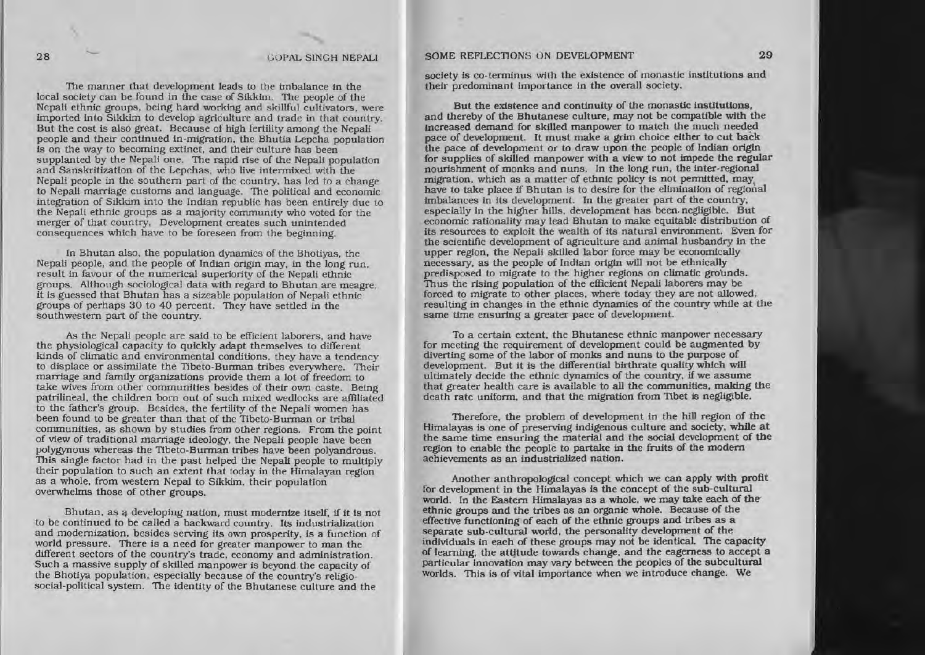## 28 GOPAL SINGH NEPALI

The manner that development leads to the imbalance in the local society can be found In the case of Slkkim. The people of the Nepali ethnic groups, being hard working and skillful cultivators, were imported into Sikkim to develop agriculture and trade in that country. But the cost is also great. Because of high fertility among the Nepali people and their continued in-migration, the Bhutia Lepcha population is on the way to becoming extinct, and their culture has been supplanted by the Nepali one. The rapid rise of the Nepali population and Sanskritization of the Lepchas, who live intermixed with the Nepali people in the southern part of the country, has led to a change to Nepali marriage customs and language. The political and economic Integration of Sikkim into the Indian republic has been entirely due to the Nepali ethnic groups as <sup>a</sup> majority community who voted for the merger of that country. Development creates such unintended consequences which have 10 be foreseen from the beginning.

In Bhutan also, the population dynamics of the Bhotiyas, the Nepali people, and the people of Indian origin may, in the long run, result in favour of the numerical superiority of the Nepali ethnic groups. Although SOCiological data with regard to Bhutan are meagre, it is guessed that Bhutan has <sup>a</sup> sizeable population of Nepali ethnic groups of perhaps 30 to 40 percent. They have settled in the southwestern par<sup>t</sup> of the country.

As the Nepali people are said to be efficient laborers, and have the physiological capacity to quickly adapt themselves to different kinds of climatic and environmental conditions, they have a tendency to displace or assimilate the Tibeto-Burman tribes everywhere. Their mamage and family organizations provide them <sup>a</sup> lot of freedom to take wives from other communities besides of their own caste. Being patrilineal. the children bom out of such mixed wedlocks are affiliated to the father's group. Besides. the fertility of the Nepali women has been found to be greater than that of the Tibeto-Burman or tribal communities, as shown by studies from olher regions. From the point of view of traditional marriage ideology. the Nepali people have been polygynous whereas the nbeto-Burman tribes have been polyandrous. This Single factor had in the pas<sup>t</sup> helped the Nepali people to multiply their population to such an extent that today in the Himalayan region as <sup>a</sup> whole. from western Nepal to Slkkim. their population overwhelms those of other groups.

Bhutan. as developing nation, must modernize itself. if it is not to be continued to be called <sup>a</sup> backward country. its industrialization and modernization, besides serving its own prosperity, is a function of world pressure. There is <sup>a</sup> need for greater manpower to man the different sectors of the country's trade, economy and administration. Such a massive supply of skilled manpower is beyond the capacity of the Bhotiva population, especially because of the country's religiosocial-political system. The identity of the Bhutanese culture and the

## SOME REFLECTIONS ON DEVELOPMENT 29

society is co-terminus with the existence of monastic institutions and their predominant importance in the overall society.

But the existence and continuity of the monastic institutions. and thereby of the Bhutanese culture. may not be compatible with the increased demand for skilled manpower to match the much needed pace of development. It must make a grim choice either to cut back the pace of development or to draw upon the people of Indian origin for supplies of skilled manpower with a view to not impede the regular nourishment of monks and nuns. In the long run, the inter-regional migration, which as a matter of ethnic policy is not permitted, may have to take place if Bhutan is to desire for the elimination of regional imbalances in its development. In the greater part of the country, especla1ly in the higher hills, development has been. negligible. But economic rationality may lead Bhutan to make equitable distribution of its resources to exploit the wealth of its natural environment. Even for the scientific development of agriculture and animal husbandry in the upper region, the Nepali skilled labor force may be economically necessary. as the people of Indian Origin will not be ethnically predisposed to migrate to the higher regions on climatic grounds. Thus the rising population of the efficient Nepali laborers may be forced to migrate to other places. where today they are not allowed, resulting in changes in the ethnic dynamics of the country while at the same time ensuring <sup>a</sup> greater pace of development.

To a certain extent, the Bhutanese ethnic manpower necessary for meeting the requirement of development could be augmented by diverting some of the labor of monks and nuns to the purpose of development. But it is the differential birthrate quality which will ultimately decide the ethnic dynamics of the country, if we assume that greater health care is available to all the communities, making the death rate uniform, and that the migration from Tibet is negligible.

Therefore. the problem of development in the hill region of the Himalayas is one of preserving indigenous culture and society, while at the same time ensuring the material and the social development of the region to enable the people to partake in the fruits of the modern achievements as an industrialized nation.

Another anthropological concept which we can apply with profit for development in the Himalayas is the concept of the sub-cultural world. In the Eastern Himalayas as <sup>a</sup> whole. we may take each of theethnic groups and the trtbes as an organic whole. Because of the effective functioning of each of the ethnic groups and tribes as <sup>a</sup> separate sub-cultural world, the personality development of the individuals in each of these groups may not be identical. The capacity of learning, the attitude towards change, and the eagerness to accept a of learning, the attitude towards change. and the eagerness to accep<sup>t</sup> <sup>a</sup> particular innovation may vary between the peoples of the subcultural worlds. This is of vital importance when we introduce change. We